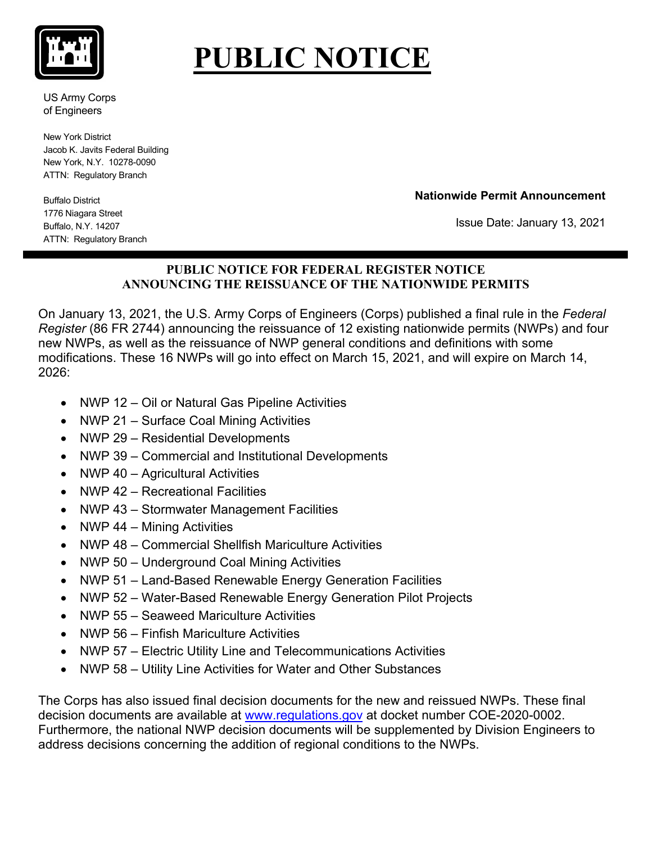

## **PUBLIC NOTICE**

US Army Corps of Engineers

New York District Jacob K. Javits Federal Building New York, N.Y. 10278-0090 ATTN: Regulatory Branch

**Nationwide Permit Announcement**

Buffalo District 1776 Niagara Street Buffalo, N.Y. 14207 ATTN: Regulatory Branch

Issue Date: January 13, 2021

## **PUBLIC NOTICE FOR FEDERAL REGISTER NOTICE ANNOUNCING THE REISSUANCE OF THE NATIONWIDE PERMITS**

On January 13, 2021, the U.S. Army Corps of Engineers (Corps) published a final rule in the *Federal Register* (86 FR 2744) announcing the reissuance of 12 existing nationwide permits (NWPs) and four new NWPs, as well as the reissuance of NWP general conditions and definitions with some modifications. These 16 NWPs will go into effect on March 15, 2021, and will expire on March 14, 2026:

- NWP 12 Oil or Natural Gas Pipeline Activities
- NWP 21 Surface Coal Mining Activities
- NWP 29 Residential Developments
- NWP 39 Commercial and Institutional Developments
- NWP 40 Agricultural Activities
- NWP 42 Recreational Facilities
- NWP 43 Stormwater Management Facilities
- NWP 44 Mining Activities
- NWP 48 Commercial Shellfish Mariculture Activities
- NWP 50 Underground Coal Mining Activities
- NWP 51 Land-Based Renewable Energy Generation Facilities
- NWP 52 Water-Based Renewable Energy Generation Pilot Projects
- NWP 55 Seaweed Mariculture Activities
- NWP 56 Finfish Mariculture Activities
- NWP 57 Electric Utility Line and Telecommunications Activities
- NWP 58 Utility Line Activities for Water and Other Substances

The Corps has also issued final decision documents for the new and reissued NWPs. These final decision documents are available at [www.regulations.gov](http://www.regulations.gov/) at docket number COE-2020-0002. Furthermore, the national NWP decision documents will be supplemented by Division Engineers to address decisions concerning the addition of regional conditions to the NWPs.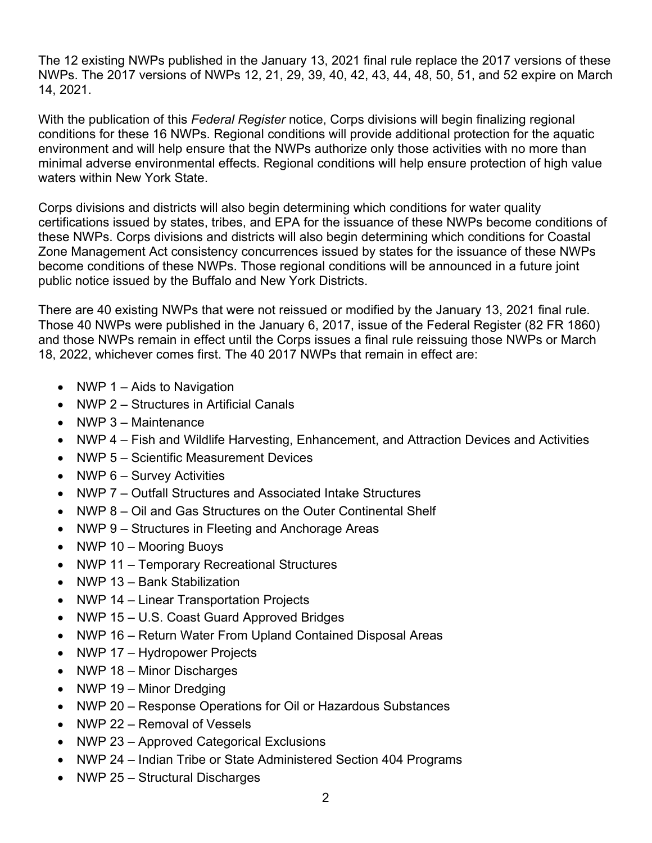The 12 existing NWPs published in the January 13, 2021 final rule replace the 2017 versions of these NWPs. The 2017 versions of NWPs 12, 21, 29, 39, 40, 42, 43, 44, 48, 50, 51, and 52 expire on March 14, 2021.

With the publication of this *Federal Register* notice, Corps divisions will begin finalizing regional conditions for these 16 NWPs. Regional conditions will provide additional protection for the aquatic environment and will help ensure that the NWPs authorize only those activities with no more than minimal adverse environmental effects. Regional conditions will help ensure protection of high value waters within New York State.

Corps divisions and districts will also begin determining which conditions for water quality certifications issued by states, tribes, and EPA for the issuance of these NWPs become conditions of these NWPs. Corps divisions and districts will also begin determining which conditions for Coastal Zone Management Act consistency concurrences issued by states for the issuance of these NWPs become conditions of these NWPs. Those regional conditions will be announced in a future joint public notice issued by the Buffalo and New York Districts.

There are 40 existing NWPs that were not reissued or modified by the January 13, 2021 final rule. Those 40 NWPs were published in the January 6, 2017, issue of the Federal Register (82 FR 1860) and those NWPs remain in effect until the Corps issues a final rule reissuing those NWPs or March 18, 2022, whichever comes first. The 40 2017 NWPs that remain in effect are:

- NWP 1 Aids to Navigation
- NWP 2 Structures in Artificial Canals
- NWP 3 Maintenance
- NWP 4 Fish and Wildlife Harvesting, Enhancement, and Attraction Devices and Activities
- NWP 5 Scientific Measurement Devices
- NWP 6 Survey Activities
- NWP 7 Outfall Structures and Associated Intake Structures
- NWP 8 Oil and Gas Structures on the Outer Continental Shelf
- NWP 9 Structures in Fleeting and Anchorage Areas
- NWP 10 Mooring Buoys
- NWP 11 Temporary Recreational Structures
- NWP 13 Bank Stabilization
- NWP 14 Linear Transportation Projects
- NWP 15 U.S. Coast Guard Approved Bridges
- NWP 16 Return Water From Upland Contained Disposal Areas
- NWP 17 Hydropower Projects
- NWP 18 Minor Discharges
- NWP 19 Minor Dredging
- NWP 20 Response Operations for Oil or Hazardous Substances
- NWP 22 Removal of Vessels
- NWP 23 Approved Categorical Exclusions
- NWP 24 Indian Tribe or State Administered Section 404 Programs
- NWP 25 Structural Discharges